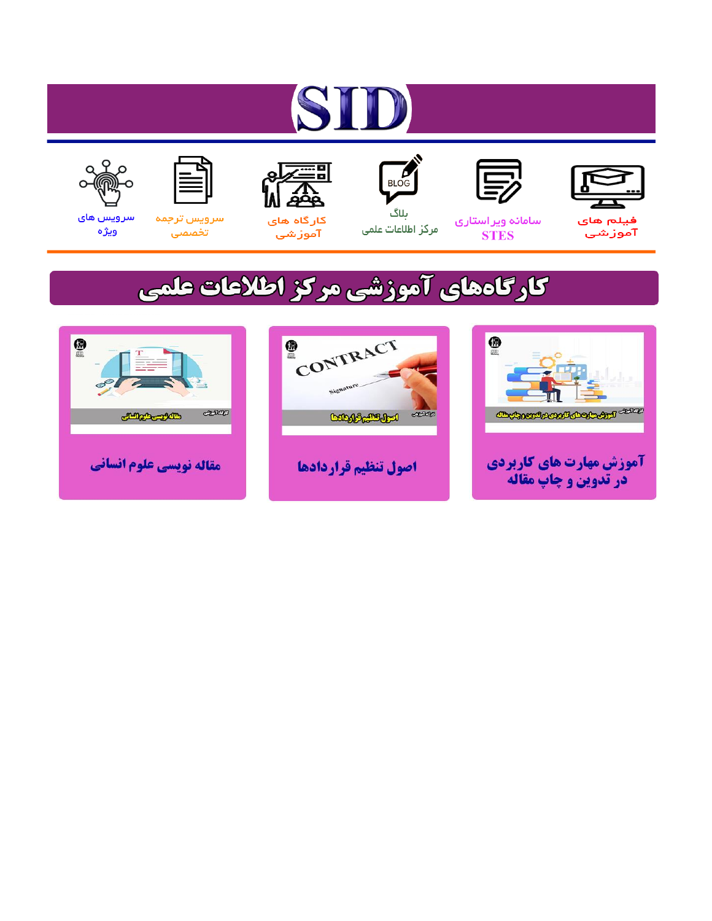# ST











مرکز اطلاعات علمی

 $\frac{1}{\sqrt{\frac{1}{100}}}$ ىلاگ



آموزشي

空

سرويس ترجمه تخصصى



سرویس های ويژه

## كارگاههای آموزشی مركز اطلاعات علمی





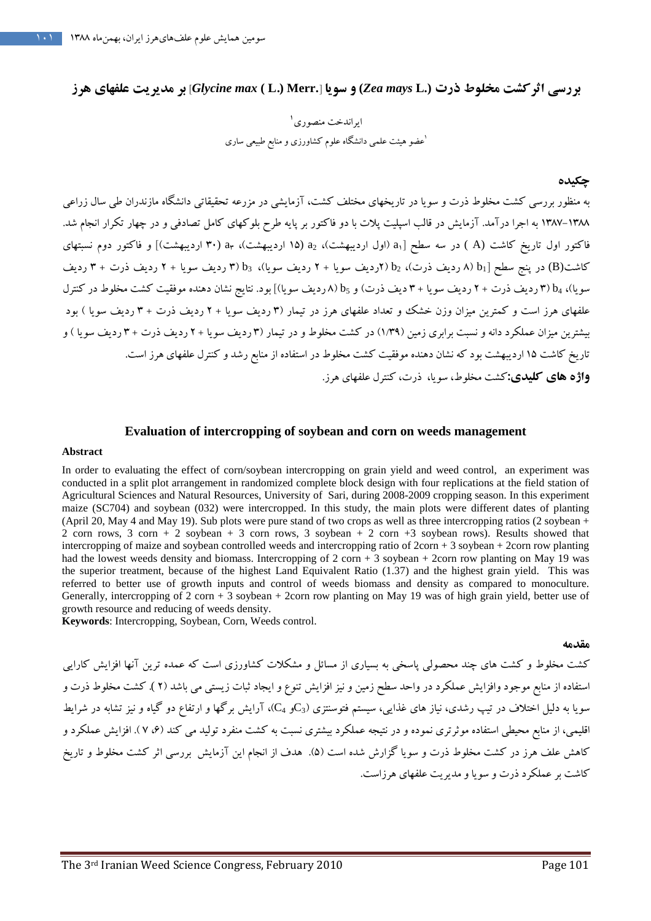**بررسي اثركشت مخلوط ذرت (***.***L** *Zea mays L) و سو***يا [.Glycine max ) ( E) بر مديريت علفهاي هرز** 

ايراندخت منصوري ۱ عضو هيئت علمي دانشگاه علوم كشاورزي و منابع طبيعي ساري <sup>1</sup>

### چكيده

به منظور بررسي كشت مخلوط ذرت و سويا در تاريخهاي مختلف كشت، آزمايشي در مزرعه تحقيقاتي دانشگاه مازندران طي سال زراعي ۱۳۸۸–۱۳۸۷ به اجرا درآمد. آزمایش در قالب اسپلیت پلات با دو فاكتور بر پایه طرح بلوكهای كامل تصادفی و در چهار تكرار انجام شد. فاكتور اول تاريخ كاشت (A) در سه سطح a<sub>1</sub>] (اول ارديبهشت)، a<sub>2</sub> (١۵ ارديبهشت)، a<sub>٣</sub> (٣٠ ارديبهشت)] و فاكتور دوم نسبتهاى کاشت(B) در پنج سطح A) b<sub>1</sub> (دیف ذرت)، b<sub>2</sub> (۲ردیف سویا + ۲ ردیف سویا)، b<sub>3</sub> (۳ ردیف سویا + ۲ ردیف ذرت + ۳ ردیف سویا)، b4 (۳ ردیف ذرت + ۲ ردیف سویا + ۳ دیف ذرت) و 65 (۸ ردیف سویا)] بود. نتایج نشان دهنده موفقیت کشت مخلوط در کنترل علفهای هرز است و كم<mark>ترين ميزان وزن</mark> خشك و تعداد علفهای هرز در تيمار (۳ رديف سويا + ۲ رديف ذرت + ۳ رديف سويا ) بود بيشترين ميزان عملكرد دانه و نسبت برابري زمين (١/٣٩) در كشت مخلوط و در تيمار (٣ رديف سويا +٢ رديف ذرت +٣ رديف سويا ) و تاريخ كاشت 15 ارديبهشت بود كه نشان دهنده موفقيت كشت مخلوط در استفاده از منابع رشد و كنترل علفهاي هرز است . **واژه هاي كليدي:**كشت مخلوط، سُويا، دُرت، كن**ترل عل**فهاي هرز.

## **Evaluation of intercropping of soybean and corn on weeds management**

### **Abstract**

سطح ( Archives intercopying of soybean and corner of edge of the phase of the signal corner ( Archives of the original corner ( Archives of the original corner ( Archives of the original corner ( Archives of the original In order to evaluating the effect of corn/soybean intercropping on grain yield and weed control, an experiment was conducted in a split plot arrangement in randomized complete block design with four replications at the field station of Agricultural Sciences and Natural Resources, University of Sari, during 2008-2009 cropping season. In this experiment maize (SC704) and soybean (032) were intercropped. In this study, the main plots were different dates of planting (April 20, May 4 and May 19). Sub plots were pure stand of two crops as well as three intercropping ratios (2 soybean + 2 corn rows, 3 corn + 2 soybean  $+$  3 corn rows, 3 soybean + 2 corn + 3 soybean rows). Results showed that intercropping of maize and soybean controlled weeds and intercropping ratio of  $2\text{corn} + 3$  soybean + 2corn row planting had the lowest weeds density and biomass. Intercropping of 2 corn + 3 soybean + 2corn row planting on May 19 was the superior treatment, because of the highest Land Equivalent Ratio (1.37) and the highest grain yield. This was referred to better use of growth inputs and control of weeds biomass and density as compared to monoculture. Generally, intercropping of  $2 \text{ corn} + 3 \text{ soybean} + 2 \text{corn row planning on May 19 was of high grain yield, better use of$ growth resource and reducing of weeds density.

**Keywords**: Intercropping, Soybean, Corn, Weeds control.

#### مقدمه

كشت مخلوط و كشت هاي چند محصولي پاسخي به بسياري از مسائل و مشكلات كشاورزي است كه عمده ترين آنها افزايش كارايي استفاده از منابع موجود وافزايش عملكرد در واحد سطح زمين و نيز افزايش تنوع و ايجاد ثبات زيستي مي باشد (٢ ). كشت مخلوط ذرت و سویا به دلیل اختلاف در تیپ رشدی، نیاز های غذایی، سیستم فتوسنتزی (Qو C<sub>4</sub>)، آرایش برگها و ارتفاع دو گیاه و نیز تشابه در شرایط اقليمي، از منابع محيطي استفاده موثرتري نموده و در نتيجه عملكرد بيشتري نسبت به كشت منفرد توليد مي كند (۶، ۷). افزايش عملكرد و كاهش علف هرز در كشت مخلوط ذرت و سويا گزارش شده است (۵). هدف از انجام اين آزمايش بررسي اثر كشت مخلوط و تاريخ كاشت بر عملكرد ذرت و سويا و مديريت علفهاي هرزاست .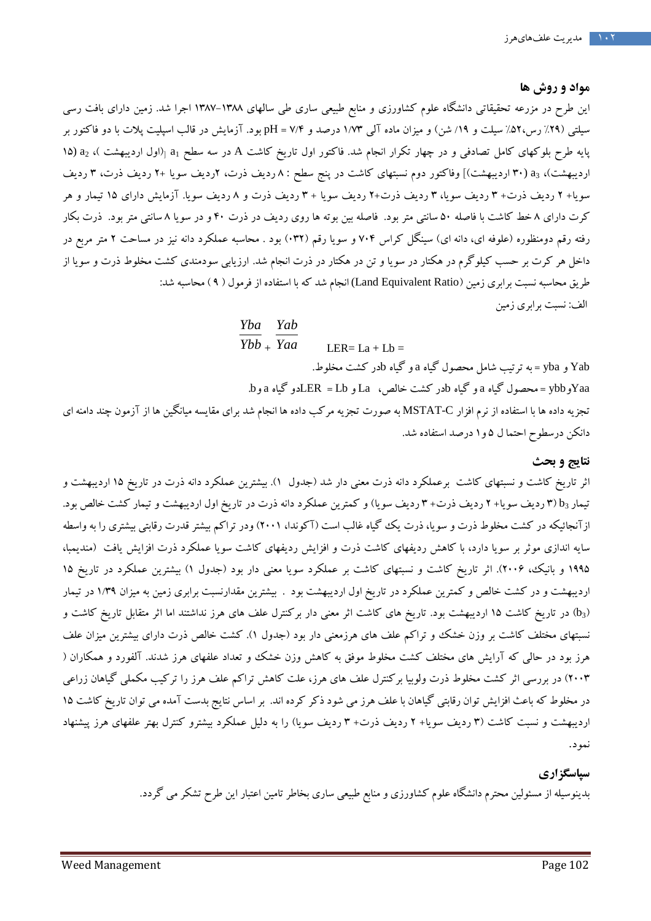## مواد و روش ها

اين طرح در مزرعه تحقيقاتي دانشگاه علوم كشاورزی و منابع طبيعي ساری طی سالهای ۱۳۸۸–۱۳۸۷ اجرا شد. زمين دارای بافت رسی سیلتی (۲۹٪ رس،۵۲٪ سیلت و ۱۹/ شن) و میزان ماده آلی ۱/۷۳ درصد و PH = ۷/۴ بود. آزمایش در قالب اسپلیت پلات با دو فاكتور بر پايه طرح بلوكهاى كامل تصادفى و در چهار تكرار انجام شد. فاكتور اول تاريخ كاشت A در سه سطح <sub>a1 (</sub>(اول ارديبهشت )، a<sub>2</sub> (۱۵ ارديبهشت)، a3 (۳۰ ارديبهشت)] وفاكتور دوم نسبتهاى كاشت در پنج سطح : ۸ رديف ذرت، ۲رديف سويا +۲ رديف ترت، ۳ رديف سويا+ ۲ رديف ذرت+ ۳ رديف سويا، ۳ رديف ذرت+۲ رديف سويا + ۳ رديف ذرت و ۸ رديف سويا. آزمايش داراي ۱۵ تيمار و هر كرت داراي 8 خط كاشت با فاصله 50 سانتي متر بود. فاصله بين بوته ها روي رديف در ذرت 40 و در سويا 8 سانتي متر بود. ذرت بكار رفته رقم دومنظوره (علوفه اى، دانه اى) سينگل كراس ۷۰۴ و سويا رقم (۰۳۲) بود . محاسبه عملكرد دانه نيز در مساحت ۲ متر مربع در داخل هر كرت بر حسب كيلوگرم در هكتار در سويا و تن در هكتار در ذرت انجام شد. ارزيابي سودمندي كشت مخلوط ذرت و سويا از طريق محاسبه نسبت برابري زمين (Land Equivalent Ratio) انجام شد كه با استفاده از فرمول ( ۹ ) محاسبه شد: الف: نسبت برابري زم<mark>ي</mark>ن

## *Yba Yab*

*Ybb* + *Yaa* LER= $La + Lb$ 

و گياه bدر كشت مخلوط . yba = به ترتيب شامل محصول گياه a Yab و . و b و گياه bدر كشت خالص، La و Lb = LERدو گياه a ybb = محصول گياه a Yaaو تجزيه داده ها با استفاده از نرم افزار C-MSTAT به صورت تجزيه مركب داده ها انجام شد براي مقايسه ميانگين ها از آزمون چند دامنه اي دانكن درسطوح احتما ل 1و 5 درصد استفاده شد .

## نتايج و بحث

سب سیو ترم در معتدار در سوره و من در متحار در درت امیم سد: ارزیبی سورشدی نسب معمود<br>برای در سین Cland Equivalent Ratio) انجام شد که با استفاده از فرمول ( ۹ ) محاسبه شد:<br>تب شامل محصور گیاه ها و گیاه الهدی که استفاده از فرمو اثر تاريخ كاشت و نسبتهاى كاشت برعملكرد دانه ذرت معنى دار شد (جدول ۱). بيشترين عملكرد دانه ذرت در تاريخ ۱۵ ارديبهشت و تيمار 5x ارديف سويا+ ٢ رديف ذرت+ ٣ رديف سويا) و كمترين عملكرد دانه ذرت در تاريخ اول ارديبهشت و تيمار كشت خالص بود. از آنجائيكه در كشت مخلوط ذرت و سويا، ذرت يك گياه غالب است (اكوندا، (١٠٠٢) ودر تراكم بيشتر قدرت رقابتى بيشترى را به واسطه سايه اندازي موثر بر سويا دارد، با كاهش رديفهاي كاشت ذرت و افزايش رديفهاي كاشت سويا عملكرد ذرت افزايش يافت (منديمبا، ۱۹۹۵ و بانيك، ۲۰۰۶). اثر تاريخ كاشت و نسبتهاى كاشت بر عملكرد سويا معنى دار بود (جدول ۱) بيشترين عملكرد در تاريخ ۱۵ ارديبهشت و در كشت خالص و كمترين عملكرد در تاريخ اول ارديبهشت بود . بيشترين مقدارنسبت برابري زمين به ميزان 39/1 در تيمار ) در تاريخ كاشت 15 ارديبهشت بود. تاريخ هاي كاشت اثر معني دار بركنترل علف هاي هرز نداشتند اما اثر متقابل تاريخ كاشت و b 3 ) نسبتهای مختلف کاشت بر وزن خشک و تراکم علف های هرزمعنی دار بود (جدول ۱). کشت خالص ذرب دارای بیشترین میزان علف هرز بود در حالي كه آرايش هاي مختلف كشت مخلوط موفق به كاهش وزن خشك و تعداد علفهاي هرز شدند. آلفورد و همكاران ( 2003) در بررسي اثر كشت مخلوط ذرت ولوبيا بركنترل علف هاي هرز، علت كاهش تراكم علف هرز را تركيب مكملي گياهان زراعي در مخلوط كه باعث افزايش توان رقابتي گياهان با علف هرز مي شود ذكر كرده اند. بر اساس نتايج بدست آمده مي توان تاريخ كاشت 15 ارديبهشت و نسبت كاشت (۳ رديف سويا+ ۲ رديف ذرت+ ۳ رديف سويا) را به دليل عملكرد بيشترو كنترل بهتر علفهاى هرز پيشنهاد<br>نمود.

## سپاسگزاري

بدينوسيله از مسئولين محترم دانشگاه علوم كشاورزي و منابع طبيعي ساري بخاطر تامين اعتبار اين طرح تشكر مي گردد .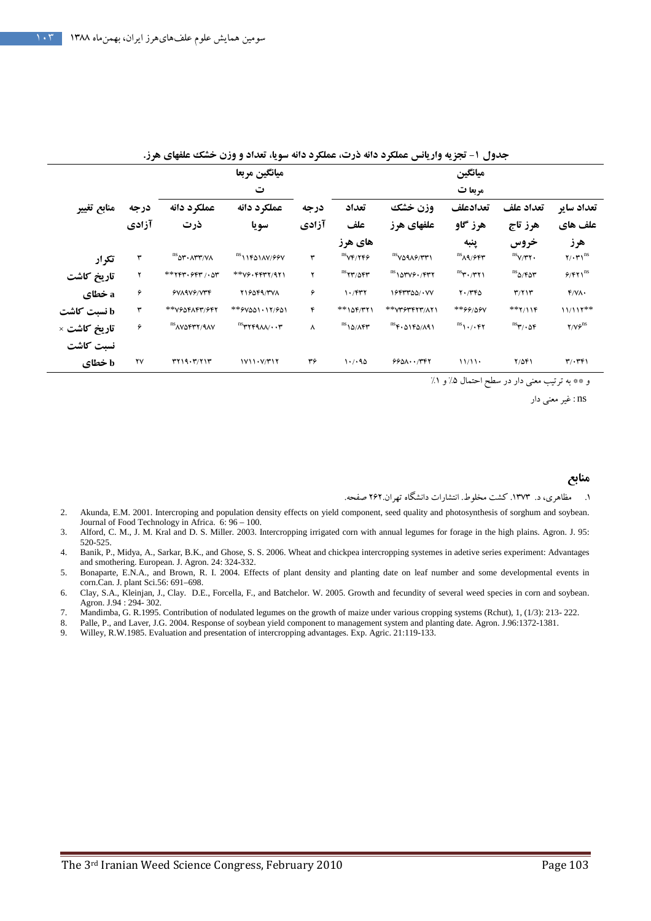|                                                                                                                                                                                                                                                                                             |                   |                           | ميانگين مربعا                                                                                                                              |       | ميانگين                            |                                                              |                                                       |                                                             |                                            |
|---------------------------------------------------------------------------------------------------------------------------------------------------------------------------------------------------------------------------------------------------------------------------------------------|-------------------|---------------------------|--------------------------------------------------------------------------------------------------------------------------------------------|-------|------------------------------------|--------------------------------------------------------------|-------------------------------------------------------|-------------------------------------------------------------|--------------------------------------------|
|                                                                                                                                                                                                                                                                                             |                   |                           | ت                                                                                                                                          |       | مربعا ت                            |                                                              |                                                       |                                                             |                                            |
| منابع تغيير                                                                                                                                                                                                                                                                                 | درجه              | عملكرد دانه               | عملكرد دانه                                                                                                                                | درجه  | تعداد                              | وزن خشك                                                      | تعدادعلف                                              | تعداد علف                                                   | تعداد ساير                                 |
|                                                                                                                                                                                                                                                                                             | آزادي             | ذرت                       | سو يا                                                                                                                                      | آزادي | علف                                | علفهای هرز                                                   | هرز گاو                                               | هرز تاج                                                     | علف های                                    |
|                                                                                                                                                                                                                                                                                             |                   |                           |                                                                                                                                            |       | های هرز                            |                                                              | ينبه                                                  | خروس                                                        | هرز                                        |
| تكرار                                                                                                                                                                                                                                                                                       | ٣                 | <sup>ns</sup> ar • ^rr\^^ | $\mathrm{^{ns}}$ \\F&\AY/99V                                                                                                               | ٣     | $\text{ns}_{\text{VFT/TFF}}$       | $\text{nsV09A9/TFT}$                                         | $^{\text{ns}}$ ۸۹/۶۴۳                                 | $\mathrm{^{ns}}y/\tau\tau\cdot$                             | $\mathbf{Y}/\cdot\mathbf{Y}$ <sup>ns</sup> |
| تاريخ كاشت                                                                                                                                                                                                                                                                                  | ۲                 | ٦* ٢٣٣٠ ٦٤٣ ١٠٥٣          | **VS.FFTT/971                                                                                                                              | ۲     | $\text{ns}_{\text{YY}/\text{OPT}}$ | $^{\rm ns}$ 15000 1600 1600                                  | $\mathsf{ns}_{\mathsf{r}^\bullet/\mathsf{r}^\bullet}$ | $\mathrm{^{ns}}$ ۵/۴۵۳                                      | $9/871^{ns}$                               |
| a خطای                                                                                                                                                                                                                                                                                      | ۶                 | $6$ VA9V $6$ /V۳۴         | 116049/TVA                                                                                                                                 | ۶     | $1.7$ $577$                        | 1944400/.W                                                   | $Y \cdot / Y^*\omega$                                 | $\mathbf{r}/\mathbf{r}$                                     | f/N                                        |
| b نسبت کاشت                                                                                                                                                                                                                                                                                 | ٣                 | **VGOFAF۳/647             | **۶۷۵۵۱۰۱۲/۶۵۱                                                                                                                             | ۴     | $**10F/T11$                        | ** V۳۶۳۴٢٣/٨٢١                                               | *99/09V                                               | $**7/11F$                                                   | $11/111**$                                 |
| تاريخ كاشت ×                                                                                                                                                                                                                                                                                | ۶                 | <sup>ns</sup> AVOFTY/9AV  | $\mathbf{H}^{\text{ns}}$ ۳۲۴۹۸۸/ $\cdots$ ۳                                                                                                | ٨     | $^{\rm ns}$ 10/167                 | $\text{ns}_{\text{F}}\cdot \text{APQ/A91}$                   | $\mathbb{R} \setminus \cdot / \cdot \mathbb{F}$       | $\mathsf{ns}_{\mathsf{Y}^\prime}\cdot \mathsf{a}\mathsf{f}$ | $Y/VP$ <sup>ns</sup>                       |
| نسبت كاشت                                                                                                                                                                                                                                                                                   |                   |                           |                                                                                                                                            |       |                                    |                                                              |                                                       |                                                             |                                            |
| b خطای                                                                                                                                                                                                                                                                                      | ۲γ                | T119.7711                 | 1V11. V/T17                                                                                                                                | ٣۶    | 1.7.90                             | $990\Lambda\cdot\cdot\prime$ ۳۴۲                             | 11/11                                                 | $Y/\Delta f$                                                | $\mathbf{r}/\cdot\mathbf{r}$               |
|                                                                                                                                                                                                                                                                                             |                   |                           |                                                                                                                                            |       |                                    |                                                              |                                                       | و ** به ترتیب معنی دار در سطح احتمال ۵٪ و ۱٪                |                                            |
|                                                                                                                                                                                                                                                                                             | ns : غیر معنی دار |                           |                                                                                                                                            |       |                                    |                                                              |                                                       |                                                             |                                            |
|                                                                                                                                                                                                                                                                                             |                   |                           |                                                                                                                                            |       |                                    |                                                              |                                                       |                                                             |                                            |
|                                                                                                                                                                                                                                                                                             |                   |                           |                                                                                                                                            |       |                                    |                                                              |                                                       |                                                             |                                            |
|                                                                                                                                                                                                                                                                                             |                   |                           |                                                                                                                                            |       |                                    |                                                              |                                                       |                                                             |                                            |
|                                                                                                                                                                                                                                                                                             |                   |                           |                                                                                                                                            |       |                                    |                                                              |                                                       |                                                             |                                            |
|                                                                                                                                                                                                                                                                                             |                   |                           |                                                                                                                                            |       |                                    |                                                              |                                                       |                                                             | منابع                                      |
|                                                                                                                                                                                                                                                                                             |                   |                           |                                                                                                                                            |       |                                    | مظاهری، د. ۱۳۷۳. کشت مخلوط. انتشارات دانشگاه تهران.۲۶۲ صفحه. |                                                       |                                                             |                                            |
| 2.                                                                                                                                                                                                                                                                                          |                   |                           | Akunda, E.M. 2001. Intercroping and population density effects on yield component, seed quality and photosynthesis of sorghum and soybean. |       |                                    |                                                              |                                                       |                                                             |                                            |
| Journal of Food Technology in Africa. 6:96-100.<br>Alford, C. M., J. M. Kral and D. S. Miller, 2003. Intercropping irrigated corn with annual legumes for forage in the high plains. Agron. J. 95:<br>3.                                                                                    |                   |                           |                                                                                                                                            |       |                                    |                                                              |                                                       |                                                             |                                            |
| 520-525.<br>Banik, P., Midya, A., Sarkar, B.K., and Ghose, S. S. 2006. Wheat and chickpea intercropping systemes in adetive series experiment: Advantages<br>4.                                                                                                                             |                   |                           |                                                                                                                                            |       |                                    |                                                              |                                                       |                                                             |                                            |
| and smothering. European. J. Agron. 24: 324-332.<br>Bonaparte, E.N.A., and Brown, R. I. 2004. Effects of plant density and planting date on leaf number and some developmental events in<br>5.                                                                                              |                   |                           |                                                                                                                                            |       |                                    |                                                              |                                                       |                                                             |                                            |
| corn.Can. J. plant Sci.56: 691-698.                                                                                                                                                                                                                                                         |                   |                           |                                                                                                                                            |       |                                    |                                                              |                                                       |                                                             |                                            |
| Clay, S.A., Kleinjan, J., Clay. D.E., Forcella, F., and Batchelor. W. 2005. Growth and fecundity of several weed species in corn and soybean.<br>6.<br>Agron. J.94 : 294-302.                                                                                                               |                   |                           |                                                                                                                                            |       |                                    |                                                              |                                                       |                                                             |                                            |
| Mandimba, G. R.1995. Contribution of nodulated legumes on the growth of maize under various cropping systems (Rchut), 1, (1/3): 213-222.<br>7.<br>8.<br>Palle, P., and Laver, J.G. 2004. Response of soybean yield component to management system and planting date. Agron. J.96:1372-1381. |                   |                           |                                                                                                                                            |       |                                    |                                                              |                                                       |                                                             |                                            |
| 9.<br>Willey, R.W.1985. Evaluation and presentation of intercropping advantages. Exp. Agric. 21:119-133.                                                                                                                                                                                    |                   |                           |                                                                                                                                            |       |                                    |                                                              |                                                       |                                                             |                                            |

جدول 1- تجزيه واريانس عملكرد دانه ذرت، عملكرد دانه سويا، تعداد و وزن خشك علفهاي هرز .

## منابع

- 2. Akunda, E.M. 2001. Intercroping and population density effects on yield component, seed quality and photosynthesis of sorghum and soybean. Journal of Food Technology in Africa. 6: 96 – 100.
- 3. Alford, C. M., J. M. Kral and D. S. Miller. 2003. Intercropping irrigated corn with annual legumes for forage in the high plains. Agron. J. 95: 520-525.
- 4. Banik, P., Midya, A., Sarkar, B.K., and Ghose, S. S. 2006. Wheat and chickpea intercropping systemes in adetive series experiment: Advantages and smothering. European. J. Agron. 24: 324-332.
- 5. Bonaparte, E.N.A., and Brown, R. I. 2004. Effects of plant density and planting date on leaf number and some developmental events in corn.Can. J. plant Sci.56: 691–698.
- 6. Clay, S.A., Kleinjan, J., Clay. D.E., Forcella, F., and Batchelor. W. 2005. Growth and fecundity of several weed species in corn and soybean. Agron. J.94 : 294- 302.
- 7. Mandimba, G. R.1995. Contribution of nodulated legumes on the growth of maize under various cropping systems (Rchut), 1, (1/3): 213- 222.
- 8. Palle, P., and Laver, J.G. 2004. Response of soybean yield component to management system and planting date. Agron. J.96:1372-1381.
- 9. Willey, R.W.1985. Evaluation and presentation of intercropping advantages. Exp. Agric. 21:119-133.